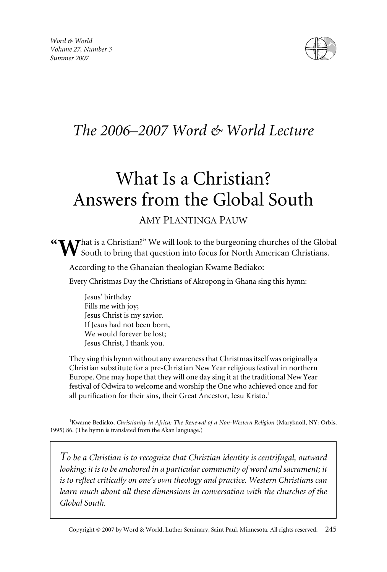

## *The 2006–2007 Word & World Lecture*

# What Is a Christian? Answers from the Global South

### AMY PLANTINGA PAUW

 $\tau$ hat is a Christian?" We will look to the burgeoning churches of the Global South to bring that question into focus for North American Christians. **"**

According to the Ghanaian theologian Kwame Bediako:

Every Christmas Day the Christians of Akropong in Ghana sing this hymn:

Jesus' birthday Fills me with joy; Jesus Christ is my savior. If Jesus had not been born, We would forever be lost; Jesus Christ, I thank you.

They sing this hymn without any awareness that Christmas itself was originally a Christian substitute for a pre-Christian New Year religious festival in northern Europe. One may hope that they will one day sing it at the traditional New Year festival of Odwira to welcome and worship the One who achieved once and for all purification for their sins, their Great Ancestor, Iesu Kristo.<sup>1</sup>

<sup>1</sup> Kwame Bediako, *Christianity in Africa: The Renewal of a Non-Western Religion* (Maryknoll, NY: Orbis, 1995) 86. (The hymn is translated from the Akan language.)

*To be a Christian is to recognize that Christian identity is centrifugal, outward looking; it is to be anchored in a particular community of word and sacrament; it is to reflect critically on one's own theology and practice. Western Christians can learn much about all these dimensions in conversation with the churches of the Global South.*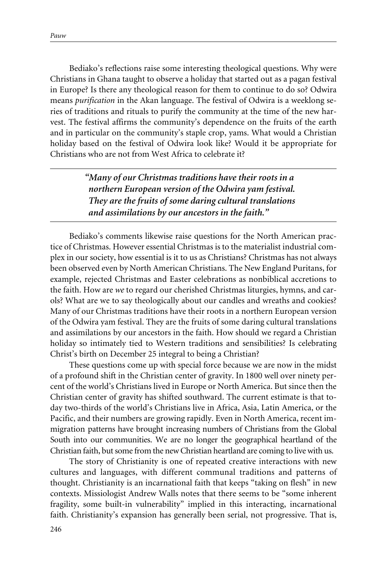Bediako's reflections raise some interesting theological questions. Why were Christians in Ghana taught to observe a holiday that started out as a pagan festival in Europe? Is there any theological reason for them to continue to do so? Odwira means *purification* in the Akan language. The festival of Odwira is a weeklong series of traditions and rituals to purify the community at the time of the new harvest. The festival affirms the community's dependence on the fruits of the earth and in particular on the community's staple crop, yams. What would a Christian holiday based on the festival of Odwira look like? Would it be appropriate for Christians who are not from West Africa to celebrate it?

> *"Many of our Christmas traditions have their roots in a northern European version of the Odwira yam festival. They are the fruits of some daring cultural translations and assimilations by our ancestors in the faith."*

Bediako's comments likewise raise questions for the North American practice of Christmas. However essential Christmas is to the materialist industrial complex in our society, how essential is it to us as Christians? Christmas has not always been observed even by North American Christians. The New England Puritans, for example, rejected Christmas and Easter celebrations as nonbiblical accretions to the faith. How are *we* to regard our cherished Christmas liturgies, hymns, and carols? What are we to say theologically about our candles and wreaths and cookies? Many of our Christmas traditions have their roots in a northern European version of the Odwira yam festival. They are the fruits of some daring cultural translations and assimilations by our ancestors in the faith. How should we regard a Christian holiday so intimately tied to Western traditions and sensibilities? Is celebrating Christ's birth on December 25 integral to being a Christian?

These questions come up with special force because we are now in the midst of a profound shift in the Christian center of gravity. In 1800 well over ninety percent of the world's Christians lived in Europe or North America. But since then the Christian center of gravity has shifted southward. The current estimate is that today two-thirds of the world's Christians live in Africa, Asia, Latin America, or the Pacific, and their numbers are growing rapidly. Even in North America, recent immigration patterns have brought increasing numbers of Christians from the Global South into our communities. We are no longer the geographical heartland of the Christian faith, but some from the new Christian heartland are coming to live with us.

The story of Christianity is one of repeated creative interactions with new cultures and languages, with different communal traditions and patterns of thought. Christianity is an incarnational faith that keeps "taking on flesh" in new contexts. Missiologist Andrew Walls notes that there seems to be "some inherent fragility, some built-in vulnerability" implied in this interacting, incarnational faith. Christianity's expansion has generally been serial, not progressive. That is,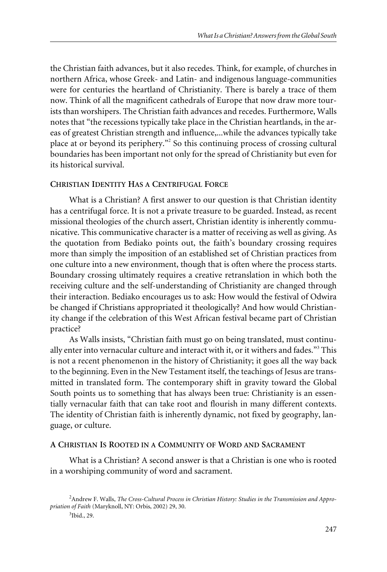the Christian faith advances, but it also recedes. Think, for example, of churches in northern Africa, whose Greek- and Latin- and indigenous language-communities were for centuries the heartland of Christianity. There is barely a trace of them now. Think of all the magnificent cathedrals of Europe that now draw more tourists than worshipers. The Christian faith advances and recedes. Furthermore, Walls notes that "the recessions typically take place in the Christian heartlands, in the areas of greatest Christian strength and influence,...while the advances typically take place at or beyond its periphery."<sup>2</sup> So this continuing process of crossing cultural boundaries has been important not only for the spread of Christianity but even for its historical survival.

#### **CHRISTIAN IDENTITY HAS A CENTRIFUGAL FORCE**

What is a Christian? A first answer to our question is that Christian identity has a centrifugal force. It is not a private treasure to be guarded. Instead, as recent missional theologies of the church assert, Christian identity is inherently communicative. This communicative character is a matter of receiving as well as giving. As the quotation from Bediako points out, the faith's boundary crossing requires more than simply the imposition of an established set of Christian practices from one culture into a new environment, though that is often where the process starts. Boundary crossing ultimately requires a creative retranslation in which both the receiving culture and the self-understanding of Christianity are changed through their interaction. Bediako encourages us to ask: How would the festival of Odwira be changed if Christians appropriated it theologically? And how would Christianity change if the celebration of this West African festival became part of Christian practice?

As Walls insists, "Christian faith must go on being translated, must continually enter into vernacular culture and interact with it, or it withers and fades."<sup>3</sup> This is not a recent phenomenon in the history of Christianity; it goes all the way back to the beginning. Even in the New Testament itself, the teachings of Jesus are transmitted in translated form. The contemporary shift in gravity toward the Global South points us to something that has always been true: Christianity is an essentially vernacular faith that can take root and flourish in many different contexts. The identity of Christian faith is inherently dynamic, not fixed by geography, language, or culture.

#### **A CHRISTIAN IS ROOTED IN A COMMUNITY OF WORD AND SACRAMENT**

What is a Christian? A second answer is that a Christian is one who is rooted in a worshiping community of word and sacrament.

<sup>2</sup> Andrew F. Walls, *The Cross-Cultural Process in Christian History: Studies in the Transmission and Appropriation of Faith* (Maryknoll, NY: Orbis, 2002) 29, 30.

<sup>3</sup> Ibid., 29.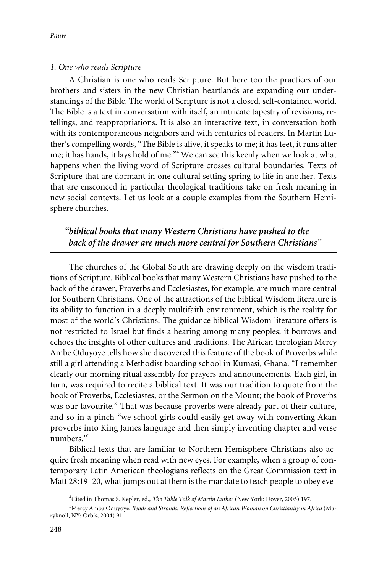#### *1. One who reads Scripture*

A Christian is one who reads Scripture. But here too the practices of our brothers and sisters in the new Christian heartlands are expanding our understandings of the Bible. The world of Scripture is not a closed, self-contained world. The Bible is a text in conversation with itself, an intricate tapestry of revisions, retellings, and reappropriations. It is also an interactive text, in conversation both with its contemporaneous neighbors and with centuries of readers. In Martin Luther's compelling words, "The Bible is alive, it speaks to me; it has feet, it runs after me; it has hands, it lays hold of me."<sup>4</sup> We can see this keenly when we look at what happens when the living word of Scripture crosses cultural boundaries. Texts of Scripture that are dormant in one cultural setting spring to life in another. Texts that are ensconced in particular theological traditions take on fresh meaning in new social contexts. Let us look at a couple examples from the Southern Hemisphere churches.

*"biblical books that many Western Christians have pushed to the back of the drawer are much more central for Southern Christians"*

The churches of the Global South are drawing deeply on the wisdom traditions of Scripture. Biblical books that many Western Christians have pushed to the back of the drawer, Proverbs and Ecclesiastes, for example, are much more central for Southern Christians. One of the attractions of the biblical Wisdom literature is its ability to function in a deeply multifaith environment, which is the reality for most of the world's Christians. The guidance biblical Wisdom literature offers is not restricted to Israel but finds a hearing among many peoples; it borrows and echoes the insights of other cultures and traditions. The African theologian Mercy Ambe Oduyoye tells how she discovered this feature of the book of Proverbs while still a girl attending a Methodist boarding school in Kumasi, Ghana. "I remember clearly our morning ritual assembly for prayers and announcements. Each girl, in turn, was required to recite a biblical text. It was our tradition to quote from the book of Proverbs, Ecclesiastes, or the Sermon on the Mount; the book of Proverbs was our favourite." That was because proverbs were already part of their culture, and so in a pinch "we school girls could easily get away with converting Akan proverbs into King James language and then simply inventing chapter and verse numbers."<sup>5</sup>

Biblical texts that are familiar to Northern Hemisphere Christians also acquire fresh meaning when read with new eyes. For example, when a group of contemporary Latin American theologians reflects on the Great Commission text in Matt 28:19–20, what jumps out at them is the mandate to teach people to obey eve-

<sup>4</sup> Cited in Thomas S. Kepler, ed., *The Table Talk of Martin Luther* (New York: Dover, 2005) 197.

<sup>5</sup> Mercy Amba Oduyoye, *Beads and Strands: Reflections of an African Woman on Christianity in Africa* (Maryknoll, NY: Orbis, 2004) 91.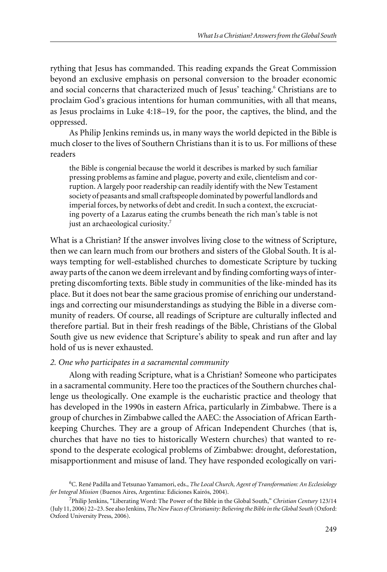rything that Jesus has commanded. This reading expands the Great Commission beyond an exclusive emphasis on personal conversion to the broader economic and social concerns that characterized much of Jesus' teaching.<sup>6</sup> Christians are to proclaim God's gracious intentions for human communities, with all that means, as Jesus proclaims in Luke 4:18–19, for the poor, the captives, the blind, and the oppressed.

As Philip Jenkins reminds us, in many ways the world depicted in the Bible is much closer to the lives of Southern Christians than it is to us. For millions of these readers

the Bible is congenial because the world it describes is marked by such familiar pressing problems as famine and plague, poverty and exile, clientelism and corruption. A largely poor readership can readily identify with the New Testament society of peasants and small craftspeople dominated by powerful landlords and imperial forces, by networks of debt and credit. In such a context, the excruciating poverty of a Lazarus eating the crumbs beneath the rich man's table is not just an archaeological curiosity.<sup>7</sup>

What is a Christian? If the answer involves living close to the witness of Scripture, then we can learn much from our brothers and sisters of the Global South. It is always tempting for well-established churches to domesticate Scripture by tucking away parts of the canon we deem irrelevant and by finding comforting ways of interpreting discomforting texts. Bible study in communities of the like-minded has its place. But it does not bear the same gracious promise of enriching our understandings and correcting our misunderstandings as studying the Bible in a diverse community of readers. Of course, all readings of Scripture are culturally inflected and therefore partial. But in their fresh readings of the Bible, Christians of the Global South give us new evidence that Scripture's ability to speak and run after and lay hold of us is never exhausted.

#### *2. One who participates in a sacramental community*

Along with reading Scripture, what is a Christian? Someone who participates in a sacramental community. Here too the practices of the Southern churches challenge us theologically. One example is the eucharistic practice and theology that has developed in the 1990s in eastern Africa, particularly in Zimbabwe. There is a group of churches in Zimbabwe called the AAEC: the Association of African Earthkeeping Churches. They are a group of African Independent Churches (that is, churches that have no ties to historically Western churches) that wanted to respond to the desperate ecological problems of Zimbabwe: drought, deforestation, misapportionment and misuse of land. They have responded ecologically on vari-

<sup>6</sup> C. René Padilla and Tetsunao Yamamori, eds., *The Local Church, Agent of Transformation: An Ecclesiology for Integral Mission* (Buenos Aires, Argentina: Ediciones Kairós, 2004).

<sup>7</sup> Philip Jenkins, "Liberating Word: The Power of the Bible in the Global South," *Christian Century* 123/14 (July 11, 2006) 22–23. See also Jenkins, *The New Faces of Christianity: Believing the Bible in the Global South* (Oxford: Oxford University Press, 2006).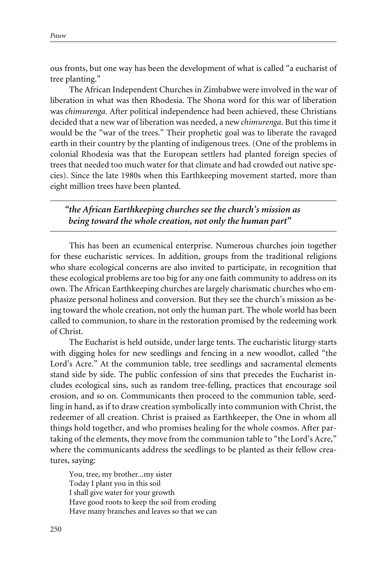ous fronts, but one way has been the development of what is called "a eucharist of tree planting."

The African Independent Churches in Zimbabwe were involved in the war of liberation in what was then Rhodesia. The Shona word for this war of liberation was *chimurenga*. After political independence had been achieved, these Christians decided that a new war of liberation was needed, a new *chimurenga*. But this time it would be the "war of the trees." Their prophetic goal was to liberate the ravaged earth in their country by the planting of indigenous trees. (One of the problems in colonial Rhodesia was that the European settlers had planted foreign species of trees that needed too much water for that climate and had crowded out native species). Since the late 1980s when this Earthkeeping movement started, more than eight million trees have been planted.

*"the African Earthkeeping churches see the church's mission as being toward the whole creation, not only the human part"*

This has been an ecumenical enterprise. Numerous churches join together for these eucharistic services. In addition, groups from the traditional religions who share ecological concerns are also invited to participate, in recognition that these ecological problems are too big for any one faith community to address on its own. The African Earthkeeping churches are largely charismatic churches who emphasize personal holiness and conversion. But they see the church's mission as being toward the whole creation, not only the human part. The whole world has been called to communion, to share in the restoration promised by the redeeming work of Christ.

The Eucharist is held outside, under large tents. The eucharistic liturgy starts with digging holes for new seedlings and fencing in a new woodlot, called "the Lord's Acre." At the communion table, tree seedlings and sacramental elements stand side by side. The public confession of sins that precedes the Eucharist includes ecological sins, such as random tree-felling, practices that encourage soil erosion, and so on. Communicants then proceed to the communion table, seedling in hand, as if to draw creation symbolically into communion with Christ, the redeemer of all creation. Christ is praised as Earthkeeper, the One in whom all things hold together, and who promises healing for the whole cosmos. After partaking of the elements, they move from the communion table to "the Lord's Acre," where the communicants address the seedlings to be planted as their fellow creatures, saying:

You, tree, my brother...my sister Today I plant you in this soil I shall give water for your growth Have good roots to keep the soil from eroding Have many branches and leaves so that we can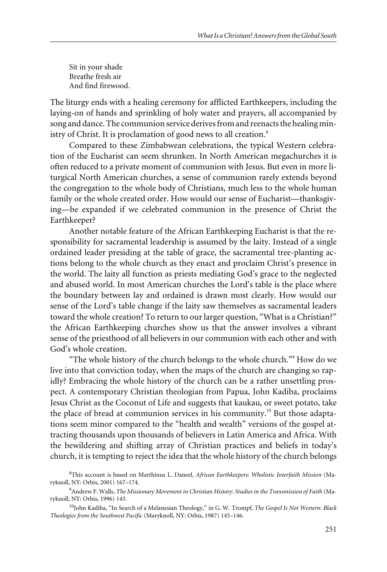Sit in your shade Breathe fresh air And find firewood.

The liturgy ends with a healing ceremony for afflicted Earthkeepers, including the laying-on of hands and sprinkling of holy water and prayers, all accompanied by song and dance. The communion service derives from and reenacts the healing ministry of Christ. It is proclamation of good news to all creation.<sup>8</sup>

Compared to these Zimbabwean celebrations, the typical Western celebration of the Eucharist can seem shrunken. In North American megachurches it is often reduced to a private moment of communion with Jesus. But even in more liturgical North American churches, a sense of communion rarely extends beyond the congregation to the whole body of Christians, much less to the whole human family or the whole created order. How would our sense of Eucharist—thanksgiving—be expanded if we celebrated communion in the presence of Christ the Earthkeeper?

Another notable feature of the African Earthkeeping Eucharist is that the responsibility for sacramental leadership is assumed by the laity. Instead of a single ordained leader presiding at the table of grace, the sacramental tree-planting actions belong to the whole church as they enact and proclaim Christ's presence in the world. The laity all function as priests mediating God's grace to the neglected and abused world. In most American churches the Lord's table is the place where the boundary between lay and ordained is drawn most clearly. How would our sense of the Lord's table change if the laity saw themselves as sacramental leaders toward the whole creation? To return to our larger question, "What is a Christian?" the African Earthkeeping churches show us that the answer involves a vibrant sense of the priesthood of all believers in our communion with each other and with God's whole creation.

"The whole history of the church belongs to the whole church."<sup>9</sup> How do we live into that conviction today, when the maps of the church are changing so rapidly? Embracing the whole history of the church can be a rather unsettling prospect. A contemporary Christian theologian from Papua, John Kadiba, proclaims Jesus Christ as the Coconut of Life and suggests that kaukau, or sweet potato, take the place of bread at communion services in his community.<sup>10</sup> But those adaptations seem minor compared to the "health and wealth" versions of the gospel attracting thousands upon thousands of believers in Latin America and Africa. With the bewildering and shifting array of Christian practices and beliefs in today's church, it is tempting to reject the idea that the whole history of the church belongs

<sup>8</sup> This account is based on Marthinus L. Daneel, *African Earthkeepers: Wholistic Interfaith Mission* (Maryknoll, NY: Orbis, 2001) 167–174.

<sup>9</sup> Andrew F. Walls, *The Missionary Movement in Christian History: Studies in the Transmission of Faith* (Maryknoll, NY: Orbis, 1996) 145.

<sup>10</sup>John Kadiba, "In Search of a Melanesian Theology," in G. W. Trompf, *The Gospel Is Not Western: Black Theologies from the Southwest Pacific* (Maryknoll, NY: Orbis, 1987) 145–146.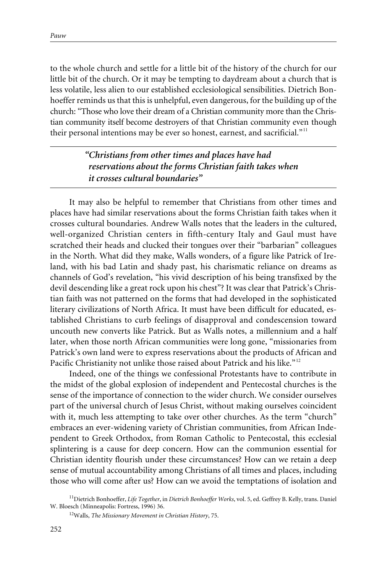to the whole church and settle for a little bit of the history of the church for our little bit of the church. Or it may be tempting to daydream about a church that is less volatile, less alien to our established ecclesiological sensibilities. Dietrich Bonhoeffer reminds us that this is unhelpful, even dangerous, for the building up of the church: "Those who love their dream of a Christian community more than the Christian community itself become destroyers of that Christian community even though their personal intentions may be ever so honest, earnest, and sacrificial."<sup>11</sup>

> *"Christians from other times and places have had reservations about the forms Christian faith takes when it crosses cultural boundaries"*

It may also be helpful to remember that Christians from other times and places have had similar reservations about the forms Christian faith takes when it crosses cultural boundaries. Andrew Walls notes that the leaders in the cultured, well-organized Christian centers in fifth-century Italy and Gaul must have scratched their heads and clucked their tongues over their "barbarian" colleagues in the North. What did they make, Walls wonders, of a figure like Patrick of Ireland, with his bad Latin and shady past, his charismatic reliance on dreams as channels of God's revelation, "his vivid description of his being transfixed by the devil descending like a great rock upon his chest"? It was clear that Patrick's Christian faith was not patterned on the forms that had developed in the sophisticated literary civilizations of North Africa. It must have been difficult for educated, established Christians to curb feelings of disapproval and condescension toward uncouth new converts like Patrick. But as Walls notes, a millennium and a half later, when those north African communities were long gone, "missionaries from Patrick's own land were to express reservations about the products of African and Pacific Christianity not unlike those raised about Patrick and his like."<sup>12</sup>

Indeed, one of the things we confessional Protestants have to contribute in the midst of the global explosion of independent and Pentecostal churches is the sense of the importance of connection to the wider church. We consider ourselves part of the universal church of Jesus Christ, without making ourselves coincident with it, much less attempting to take over other churches. As the term "church" embraces an ever-widening variety of Christian communities, from African Independent to Greek Orthodox, from Roman Catholic to Pentecostal, this ecclesial splintering is a cause for deep concern. How can the communion essential for Christian identity flourish under these circumstances? How can we retain a deep sense of mutual accountability among Christians of all times and places, including those who will come after us? How can we avoid the temptations of isolation and

<sup>11</sup>Dietrich Bonhoeffer, *Life Together*, in *Dietrich Bonhoeffer Works*, vol. 5, ed. Geffrey B. Kelly, trans. Daniel W. Bloesch (Minneapolis: Fortress, 1996) 36.

<sup>12</sup>Walls, *The Missionary Movement in Christian History*, 75.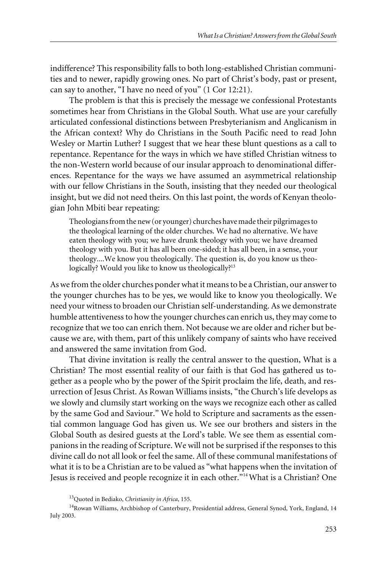indifference? This responsibility falls to both long-established Christian communities and to newer, rapidly growing ones. No part of Christ's body, past or present, can say to another, "I have no need of you" (1 Cor 12:21).

The problem is that this is precisely the message we confessional Protestants sometimes hear from Christians in the Global South. What use are your carefully articulated confessional distinctions between Presbyterianism and Anglicanism in the African context? Why do Christians in the South Pacific need to read John Wesley or Martin Luther? I suggest that we hear these blunt questions as a call to repentance. Repentance for the ways in which we have stifled Christian witness to the non-Western world because of our insular approach to denominational differences. Repentance for the ways we have assumed an asymmetrical relationship with our fellow Christians in the South, insisting that they needed our theological insight, but we did not need theirs. On this last point, the words of Kenyan theologian John Mbiti bear repeating:

Theologians from the new (or younger) churches have made their pilgrimages to the theological learning of the older churches. We had no alternative. We have eaten theology with you; we have drunk theology with you; we have dreamed theology with you. But it has all been one-sided; it has all been, in a sense, your theology....We know you theologically. The question is, do you know us theologically? Would you like to know us theologically?<sup>13</sup>

As we from the older churches ponder what it means to be a Christian, our answer to the younger churches has to be yes, we would like to know you theologically. We need your witness to broaden our Christian self-understanding. As we demonstrate humble attentiveness to how the younger churches can enrich us, they may come to recognize that we too can enrich them. Not because we are older and richer but because we are, with them, part of this unlikely company of saints who have received and answered the same invitation from God.

That divine invitation is really the central answer to the question, What is a Christian? The most essential reality of our faith is that God has gathered us together as a people who by the power of the Spirit proclaim the life, death, and resurrection of Jesus Christ. As Rowan Williams insists, "the Church's life develops as we slowly and clumsily start working on the ways we recognize each other as called by the same God and Saviour." We hold to Scripture and sacraments as the essential common language God has given us. We see our brothers and sisters in the Global South as desired guests at the Lord's table. We see them as essential companions in the reading of Scripture. We will not be surprised if the responses to this divine call do not all look or feel the same. All of these communal manifestations of what it is to be a Christian are to be valued as "what happens when the invitation of Jesus is received and people recognize it in each other."14What is a Christian? One

<sup>13</sup>Quoted in Bediako, *Christianity in Africa*, 155.

<sup>&</sup>lt;sup>14</sup>Rowan Williams, Archbishop of Canterbury, Presidential address, General Synod, York, England, 14 July 2003.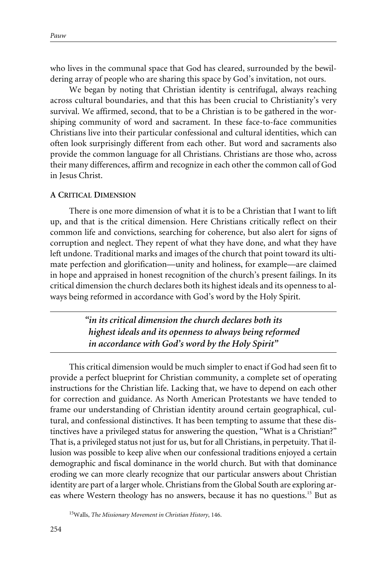who lives in the communal space that God has cleared, surrounded by the bewildering array of people who are sharing this space by God's invitation, not ours.

We began by noting that Christian identity is centrifugal, always reaching across cultural boundaries, and that this has been crucial to Christianity's very survival. We affirmed, second, that to be a Christian is to be gathered in the worshiping community of word and sacrament. In these face-to-face communities Christians live into their particular confessional and cultural identities, which can often look surprisingly different from each other. But word and sacraments also provide the common language for all Christians. Christians are those who, across their many differences, affirm and recognize in each other the common call of God in Jesus Christ.

#### **A CRITICAL DIMENSION**

There is one more dimension of what it is to be a Christian that I want to lift up, and that is the critical dimension. Here Christians critically reflect on their common life and convictions, searching for coherence, but also alert for signs of corruption and neglect. They repent of what they have done, and what they have left undone. Traditional marks and images of the church that point toward its ultimate perfection and glorification—unity and holiness, for example—are claimed in hope and appraised in honest recognition of the church's present failings. In its critical dimension the church declares both its highest ideals and its openness to always being reformed in accordance with God's word by the Holy Spirit.

> *"in its critical dimension the church declares both its highest ideals and its openness to always being reformed in accordance with God's word by the Holy Spirit"*

This critical dimension would be much simpler to enact if God had seen fit to provide a perfect blueprint for Christian community, a complete set of operating instructions for the Christian life. Lacking that, we have to depend on each other for correction and guidance. As North American Protestants we have tended to frame our understanding of Christian identity around certain geographical, cultural, and confessional distinctives. It has been tempting to assume that these distinctives have a privileged status for answering the question, "What is a Christian?" That is, a privileged status not just for us, but for all Christians, in perpetuity. That illusion was possible to keep alive when our confessional traditions enjoyed a certain demographic and fiscal dominance in the world church. But with that dominance eroding we can more clearly recognize that our particular answers about Christian identity are part of a larger whole. Christians from the Global South are exploring areas where Western theology has no answers, because it has no questions.<sup>15</sup> But as

15Walls, *The Missionary Movement in Christian History*, 146.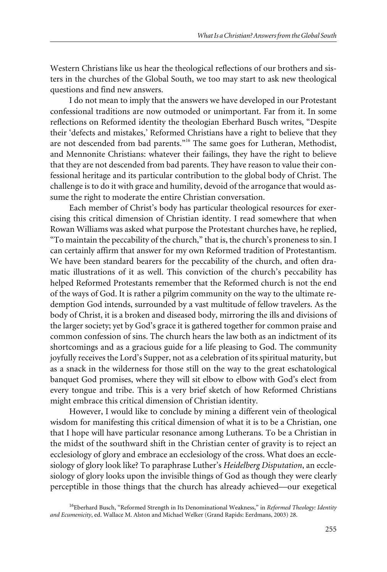Western Christians like us hear the theological reflections of our brothers and sisters in the churches of the Global South, we too may start to ask new theological questions and find new answers.

I do not mean to imply that the answers we have developed in our Protestant confessional traditions are now outmoded or unimportant. Far from it. In some reflections on Reformed identity the theologian Eberhard Busch writes, "Despite their 'defects and mistakes,' Reformed Christians have a right to believe that they are not descended from bad parents."<sup>16</sup> The same goes for Lutheran, Methodist, and Mennonite Christians: whatever their failings, they have the right to believe that they are not descended from bad parents. They have reason to value their confessional heritage and its particular contribution to the global body of Christ. The challenge is to do it with grace and humility, devoid of the arrogance that would assume the right to moderate the entire Christian conversation.

Each member of Christ's body has particular theological resources for exercising this critical dimension of Christian identity. I read somewhere that when Rowan Williams was asked what purpose the Protestant churches have, he replied, "To maintain the peccability of the church," that is, the church's proneness to sin. I can certainly affirm that answer for my own Reformed tradition of Protestantism. We have been standard bearers for the peccability of the church, and often dramatic illustrations of it as well. This conviction of the church's peccability has helped Reformed Protestants remember that the Reformed church is not the end of the ways of God. It is rather a pilgrim community on the way to the ultimate redemption God intends, surrounded by a vast multitude of fellow travelers. As the body of Christ, it is a broken and diseased body, mirroring the ills and divisions of the larger society; yet by God's grace it is gathered together for common praise and common confession of sins. The church hears the law both as an indictment of its shortcomings and as a gracious guide for a life pleasing to God. The community joyfully receives the Lord's Supper, not as a celebration of its spiritual maturity, but as a snack in the wilderness for those still on the way to the great eschatological banquet God promises, where they will sit elbow to elbow with God's elect from every tongue and tribe. This is a very brief sketch of how Reformed Christians might embrace this critical dimension of Christian identity.

However, I would like to conclude by mining a different vein of theological wisdom for manifesting this critical dimension of what it is to be a Christian, one that I hope will have particular resonance among Lutherans. To be a Christian in the midst of the southward shift in the Christian center of gravity is to reject an ecclesiology of glory and embrace an ecclesiology of the cross. What does an ecclesiology of glory look like? To paraphrase Luther's *Heidelberg Disputation*, an ecclesiology of glory looks upon the invisible things of God as though they were clearly perceptible in those things that the church has already achieved—our exegetical

<sup>16</sup>Eberhard Busch, "Reformed Strength in Its Denominational Weakness," in *Reformed Theology: Identity and Ecumenicity*, ed. Wallace M. Alston and Michael Welker (Grand Rapids: Eerdmans, 2003) 28.